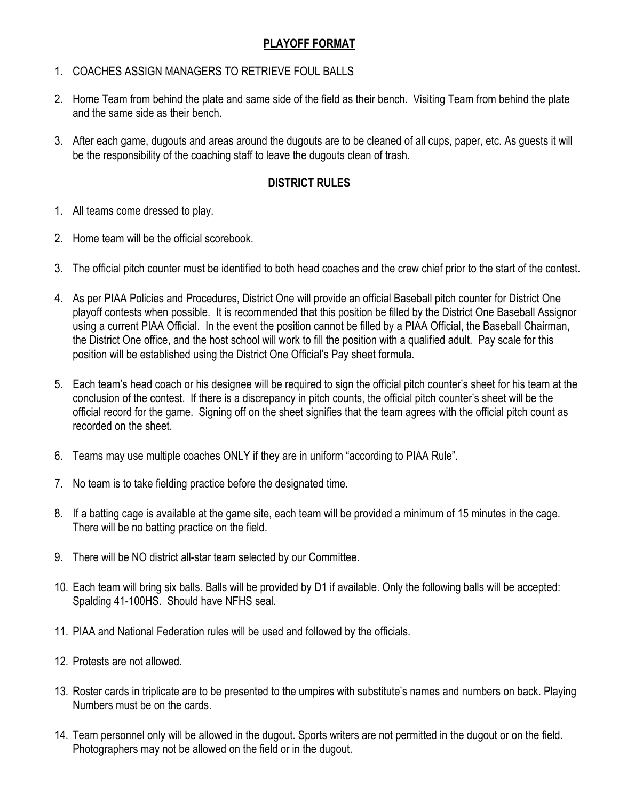# **PLAYOFF FORMAT**

- 1. COACHES ASSIGN MANAGERS TO RETRIEVE FOUL BALLS
- 2. Home Team from behind the plate and same side of the field as their bench. Visiting Team from behind the plate and the same side as their bench.
- 3. After each game, dugouts and areas around the dugouts are to be cleaned of all cups, paper, etc. As guests it will be the responsibility of the coaching staff to leave the dugouts clean of trash.

### **DISTRICT RULES**

- 1. All teams come dressed to play.
- 2. Home team will be the official scorebook.
- 3. The official pitch counter must be identified to both head coaches and the crew chief prior to the start of the contest.
- 4. As per PIAA Policies and Procedures, District One will provide an official Baseball pitch counter for District One playoff contests when possible. It is recommended that this position be filled by the District One Baseball Assignor using a current PIAA Official. In the event the position cannot be filled by a PIAA Official, the Baseball Chairman, the District One office, and the host school will work to fill the position with a qualified adult. Pay scale for this position will be established using the District One Official's Pay sheet formula.
- 5. Each team's head coach or his designee will be required to sign the official pitch counter's sheet for his team at the conclusion of the contest. If there is a discrepancy in pitch counts, the official pitch counter's sheet will be the official record for the game. Signing off on the sheet signifies that the team agrees with the official pitch count as recorded on the sheet.
- 6. Teams may use multiple coaches ONLY if they are in uniform "according to PIAA Rule".
- 7. No team is to take fielding practice before the designated time.
- 8. If a batting cage is available at the game site, each team will be provided a minimum of 15 minutes in the cage. There will be no batting practice on the field.
- 9. There will be NO district all-star team selected by our Committee.
- 10. Each team will bring six balls. Balls will be provided by D1 if available. Only the following balls will be accepted: Spalding 41-100HS. Should have NFHS seal.
- 11. PIAA and National Federation rules will be used and followed by the officials.
- 12. Protests are not allowed.
- 13. Roster cards in triplicate are to be presented to the umpires with substitute's names and numbers on back. Playing Numbers must be on the cards.
- 14. Team personnel only will be allowed in the dugout. Sports writers are not permitted in the dugout or on the field. Photographers may not be allowed on the field or in the dugout.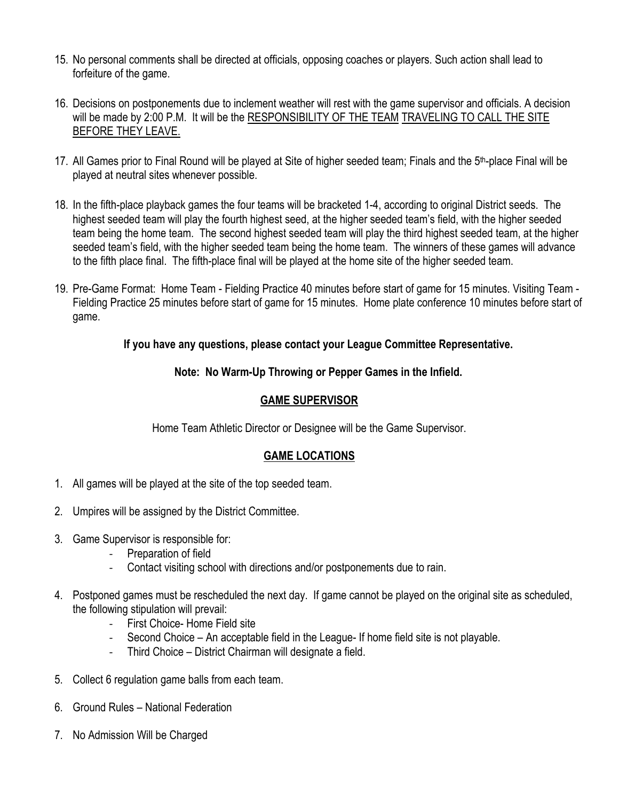- 15. No personal comments shall be directed at officials, opposing coaches or players. Such action shall lead to forfeiture of the game.
- 16. Decisions on postponements due to inclement weather will rest with the game supervisor and officials. A decision will be made by 2:00 P.M. It will be the RESPONSIBILITY OF THE TEAM TRAVELING TO CALL THE SITE BEFORE THEY LEAVE.
- 17. All Games prior to Final Round will be played at Site of higher seeded team; Finals and the 5<sup>th</sup>-place Final will be played at neutral sites whenever possible.
- 18. In the fifth-place playback games the four teams will be bracketed 1-4, according to original District seeds. The highest seeded team will play the fourth highest seed, at the higher seeded team's field, with the higher seeded team being the home team. The second highest seeded team will play the third highest seeded team, at the higher seeded team's field, with the higher seeded team being the home team. The winners of these games will advance to the fifth place final. The fifth-place final will be played at the home site of the higher seeded team.
- 19. Pre-Game Format: Home Team Fielding Practice 40 minutes before start of game for 15 minutes. Visiting Team Fielding Practice 25 minutes before start of game for 15 minutes. Home plate conference 10 minutes before start of game.

### **If you have any questions, please contact your League Committee Representative.**

### **Note: No Warm-Up Throwing or Pepper Games in the Infield.**

### **GAME SUPERVISOR**

Home Team Athletic Director or Designee will be the Game Supervisor.

## **GAME LOCATIONS**

- 1. All games will be played at the site of the top seeded team.
- 2. Umpires will be assigned by the District Committee.
- 3. Game Supervisor is responsible for:
	- Preparation of field
	- Contact visiting school with directions and/or postponements due to rain.
- 4. Postponed games must be rescheduled the next day. If game cannot be played on the original site as scheduled, the following stipulation will prevail:
	- First Choice- Home Field site
	- Second Choice An acceptable field in the League- If home field site is not playable.
	- Third Choice District Chairman will designate a field.
- 5. Collect 6 regulation game balls from each team.
- 6. Ground Rules National Federation
- 7. No Admission Will be Charged